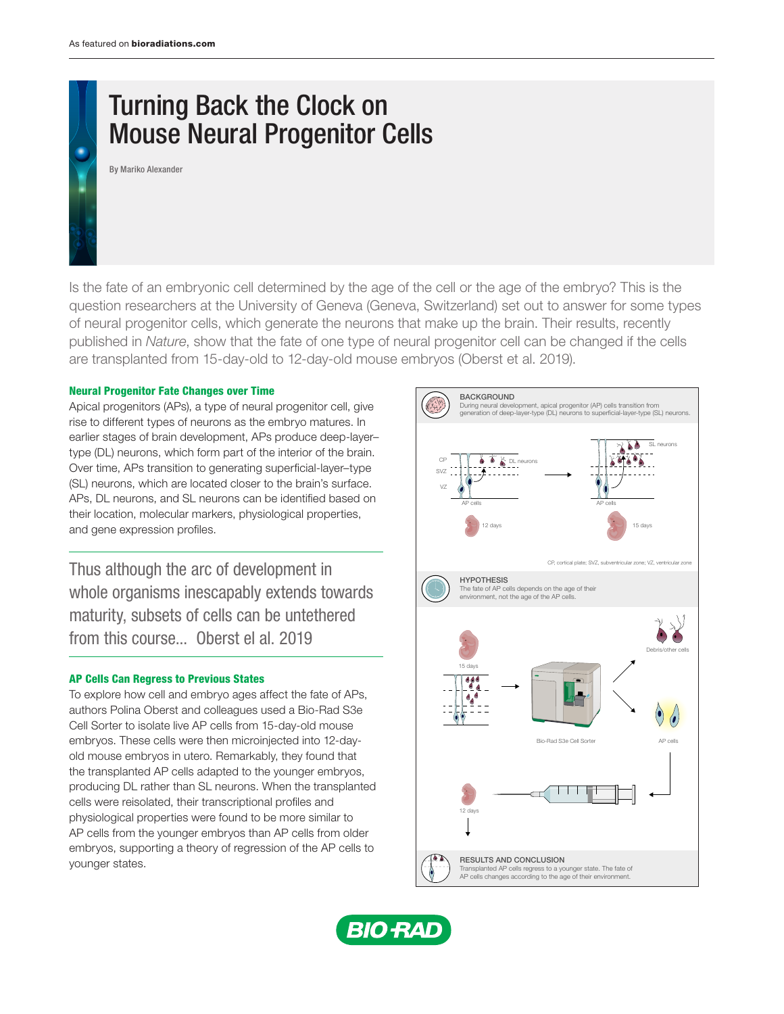# Turning Back the Clock on Mouse Neural Progenitor Cells

By Mariko Alexander

Is the fate of an embryonic cell determined by the age of the cell or the age of the embryo? This is the question researchers at the University of Geneva (Geneva, Switzerland) set out to answer for some types of neural progenitor cells, which generate the neurons that make up the brain. Their results, recently published in *Nature*, show that the fate of one type of neural progenitor cell can be changed if the cells are transplanted from 15-day-old to 12-day-old mouse embryos (Oberst et al. 2019).

### Neural Progenitor Fate Changes over Time

Apical progenitors (APs), a type of neural progenitor cell, give rise to different types of neurons as the embryo matures. In earlier stages of brain development, APs produce deep-layer– type (DL) neurons, which form part of the interior of the brain. Over time, APs transition to generating superficial-layer–type (SL) neurons, which are located closer to the brain's surface. APs, DL neurons, and SL neurons can be identified based on their location, molecular markers, physiological properties, and gene expression profiles.

Thus although the arc of development in whole organisms inescapably extends towards maturity, subsets of cells can be untethered from this course... Oberst el al. 2019

#### AP Cells Can Regress to Previous States

To explore how cell and embryo ages affect the fate of APs, authors Polina Oberst and colleagues used a [Bio-Rad S3e](http://www.bio-rad.com/S3e)  [Cell Sorter](http://www.bio-rad.com/S3e) to isolate live AP cells from 15-day-old mouse embryos. These cells were then microinjected into 12-dayold mouse embryos in utero. Remarkably, they found that the transplanted AP cells adapted to the younger embryos, producing DL rather than SL neurons. When the transplanted cells were reisolated, their transcriptional profiles and physiological properties were found to be more similar to AP cells from the younger embryos than AP cells from older embryos, supporting a theory of regression of the AP cells to younger states.